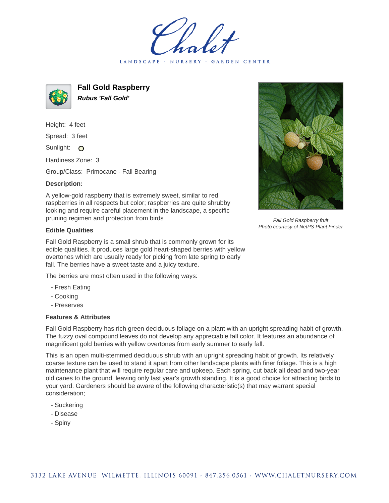LANDSCAPE · NURSERY · GARDEN CENTER



**Fall Gold Raspberry Rubus 'Fall Gold'**

Height: 4 feet Spread: 3 feet Sunlight: O

Hardiness Zone: 3

Group/Class: Primocane - Fall Bearing

## **Description:**

A yellow-gold raspberry that is extremely sweet, similar to red raspberries in all respects but color; raspberries are quite shrubby looking and require careful placement in the landscape, a specific pruning regimen and protection from birds

## **Edible Qualities**

Fall Gold Raspberry is a small shrub that is commonly grown for its edible qualities. It produces large gold heart-shaped berries with yellow overtones which are usually ready for picking from late spring to early fall. The berries have a sweet taste and a juicy texture.

The berries are most often used in the following ways:

- Fresh Eating
- Cooking
- Preserves

## **Features & Attributes**

Fall Gold Raspberry has rich green deciduous foliage on a plant with an upright spreading habit of growth. The fuzzy oval compound leaves do not develop any appreciable fall color. It features an abundance of magnificent gold berries with yellow overtones from early summer to early fall.

This is an open multi-stemmed deciduous shrub with an upright spreading habit of growth. Its relatively coarse texture can be used to stand it apart from other landscape plants with finer foliage. This is a high maintenance plant that will require regular care and upkeep. Each spring, cut back all dead and two-year old canes to the ground, leaving only last year's growth standing. It is a good choice for attracting birds to your yard. Gardeners should be aware of the following characteristic(s) that may warrant special consideration;

- Suckering
- Disease
- Spiny



Fall Gold Raspberry fruit Photo courtesy of NetPS Plant Finder